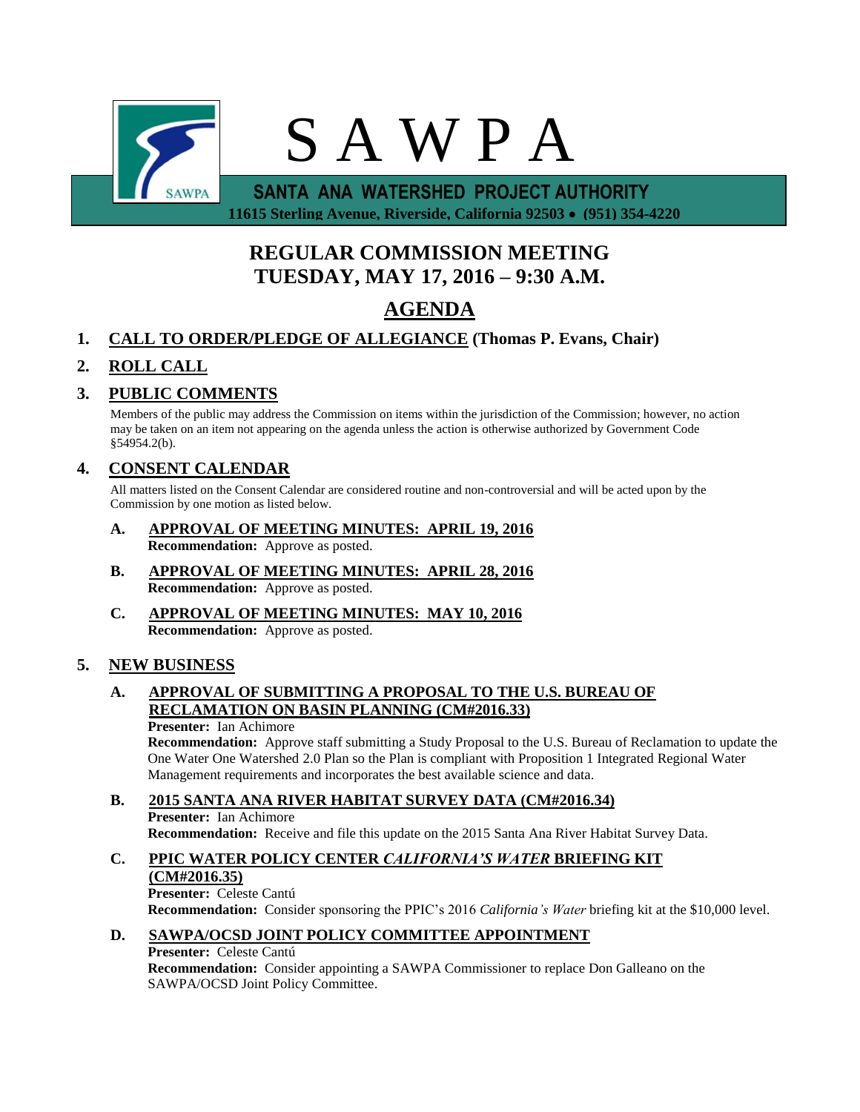

 **11615 Sterling Avenue, Riverside, California 92503 (951) 354-4220**

# **REGULAR COMMISSION MEETING TUESDAY, MAY 17, 2016 – 9:30 A.M.**

# **AGENDA**

# **1. CALL TO ORDER/PLEDGE OF ALLEGIANCE (Thomas P. Evans, Chair)**

# **2. ROLL CALL**

# **3. PUBLIC COMMENTS**

Members of the public may address the Commission on items within the jurisdiction of the Commission; however, no action may be taken on an item not appearing on the agenda unless the action is otherwise authorized by Government Code §54954.2(b).

# **4. CONSENT CALENDAR**

All matters listed on the Consent Calendar are considered routine and non-controversial and will be acted upon by the Commission by one motion as listed below.

- **A. APPROVAL OF MEETING MINUTES: APRIL 19, 2016 Recommendation:** Approve as posted.
- **B. APPROVAL OF MEETING MINUTES: APRIL 28, 2016 Recommendation:** Approve as posted.
- **C. APPROVAL OF MEETING MINUTES: MAY 10, 2016 Recommendation:** Approve as posted.

## **5. NEW BUSINESS**

## **A. APPROVAL OF SUBMITTING A PROPOSAL TO THE U.S. BUREAU OF RECLAMATION ON BASIN PLANNING (CM#2016.33)**

**Presenter:** Ian Achimore

**Recommendation:** Approve staff submitting a Study Proposal to the U.S. Bureau of Reclamation to update the One Water One Watershed 2.0 Plan so the Plan is compliant with Proposition 1 Integrated Regional Water Management requirements and incorporates the best available science and data.

## **B. 2015 SANTA ANA RIVER HABITAT SURVEY DATA (CM#2016.34)**

**Presenter:** Ian Achimore **Recommendation:** Receive and file this update on the 2015 Santa Ana River Habitat Survey Data.

# **C. PPIC WATER POLICY CENTER** *CALIFORNIA'S WATER* **BRIEFING KIT**

#### **(CM#2016.35)**

**Presenter:** Celeste Cantú **Recommendation:** Consider sponsoring the PPIC's 2016 *California's Water* briefing kit at the \$10,000 level.

## **D. SAWPA/OCSD JOINT POLICY COMMITTEE APPOINTMENT**

## **Presenter:** Celeste Cantú

**Recommendation:** Consider appointing a SAWPA Commissioner to replace Don Galleano on the SAWPA/OCSD Joint Policy Committee.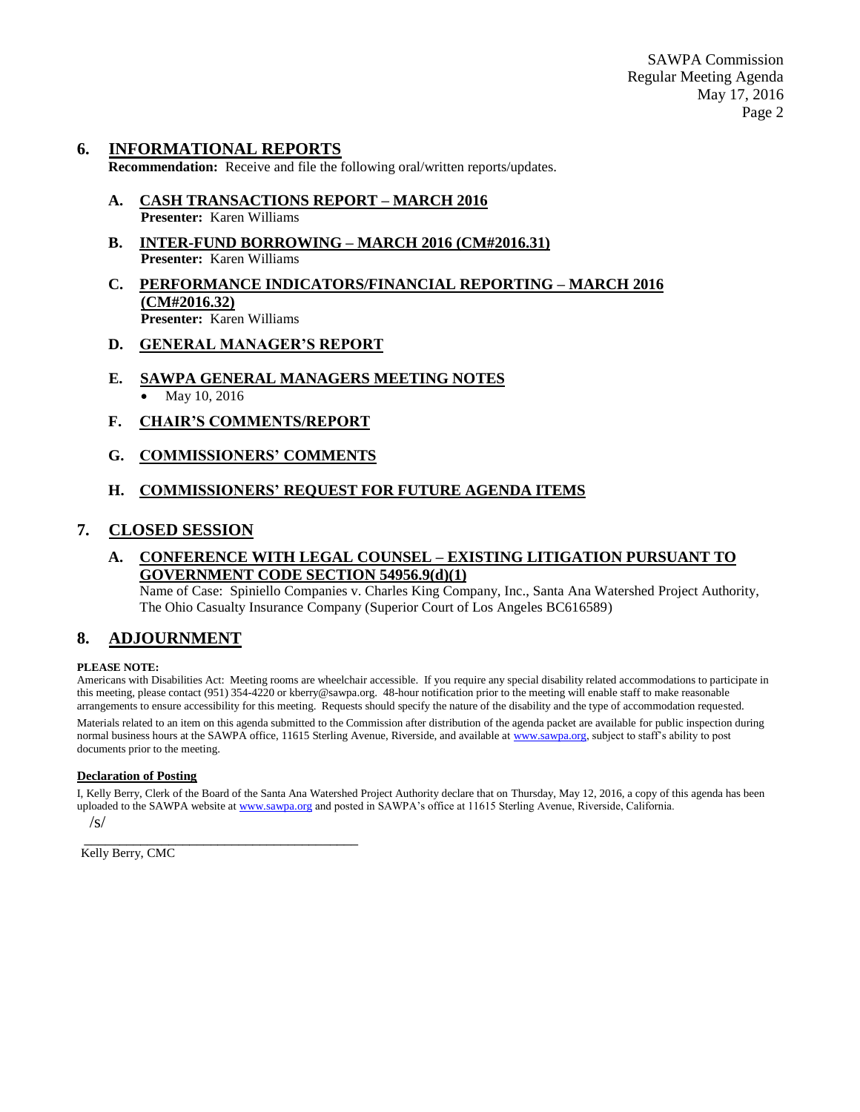#### **6. INFORMATIONAL REPORTS**

**Recommendation:** Receive and file the following oral/written reports/updates.

- **A. CASH TRANSACTIONS REPORT – MARCH 2016 Presenter:** Karen Williams
- **B. INTER-FUND BORROWING – MARCH 2016 (CM#2016.31) Presenter:** Karen Williams
- **C. PERFORMANCE INDICATORS/FINANCIAL REPORTING – MARCH 2016 (CM#2016.32) Presenter:** Karen Williams
- **D. GENERAL MANAGER'S REPORT**
- **E. SAWPA GENERAL MANAGERS MEETING NOTES** May 10, 2016
- **F. CHAIR'S COMMENTS/REPORT**
- **G. COMMISSIONERS' COMMENTS**

#### **H. COMMISSIONERS' REQUEST FOR FUTURE AGENDA ITEMS**

#### **7. CLOSED SESSION**

## **A. CONFERENCE WITH LEGAL COUNSEL – EXISTING LITIGATION PURSUANT TO GOVERNMENT CODE SECTION 54956.9(d)(1)**

Name of Case: Spiniello Companies v. Charles King Company, Inc., Santa Ana Watershed Project Authority, The Ohio Casualty Insurance Company (Superior Court of Los Angeles BC616589)

## **8. ADJOURNMENT**

#### **PLEASE NOTE:**

Americans with Disabilities Act: Meeting rooms are wheelchair accessible. If you require any special disability related accommodations to participate in this meeting, please contact (951) 354-4220 or kberry@sawpa.org. 48-hour notification prior to the meeting will enable staff to make reasonable arrangements to ensure accessibility for this meeting. Requests should specify the nature of the disability and the type of accommodation requested.

Materials related to an item on this agenda submitted to the Commission after distribution of the agenda packet are available for public inspection during normal business hours at the SAWPA office, 11615 Sterling Avenue, Riverside, and available a[t www.sawpa.org,](http://www.sawpa.org/) subject to staff's ability to post documents prior to the meeting.

#### **Declaration of Posting**

I, Kelly Berry, Clerk of the Board of the Santa Ana Watershed Project Authority declare that on Thursday, May 12, 2016, a copy of this agenda has been uploaded to the SAWPA website a[t www.sawpa.org](http://www.sawpa.org/) and posted in SAWPA's office at 11615 Sterling Avenue, Riverside, California.

/s/

Kelly Berry, CMC

\_\_\_\_\_\_\_\_\_\_\_\_\_\_\_\_\_\_\_\_\_\_\_\_\_\_\_\_\_\_\_\_\_\_\_\_\_\_\_